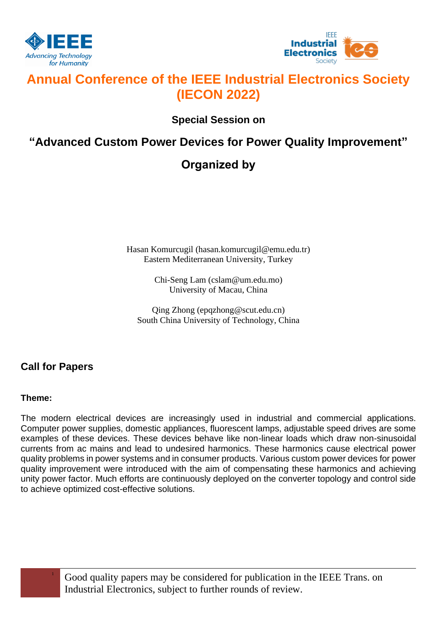



# **Annual Conference of the IEEE Industrial Electronics Society (IECON 2022)**

**Special Session on**

### **"Advanced Custom Power Devices for Power Quality Improvement"**

## **Organized by**

Hasan Komurcugil (hasan.komurcugil@emu.edu.tr) Eastern Mediterranean University, Turkey

> Chi-Seng Lam (cslam@um.edu.mo) University of Macau, China

Qing Zhong (epqzhong@scut.edu.cn) South China University of Technology, China

### **Call for Papers**

#### **Theme:**

The modern electrical devices are increasingly used in industrial and commercial applications. Computer power supplies, domestic appliances, fluorescent lamps, adjustable speed drives are some examples of these devices. These devices behave like non-linear loads which draw non-sinusoidal currents from ac mains and lead to undesired harmonics. These harmonics cause electrical power quality problems in power systems and in consumer products. Various custom power devices for power quality improvement were introduced with the aim of compensating these harmonics and achieving unity power factor. Much efforts are continuously deployed on the converter topology and control side to achieve optimized cost-effective solutions.